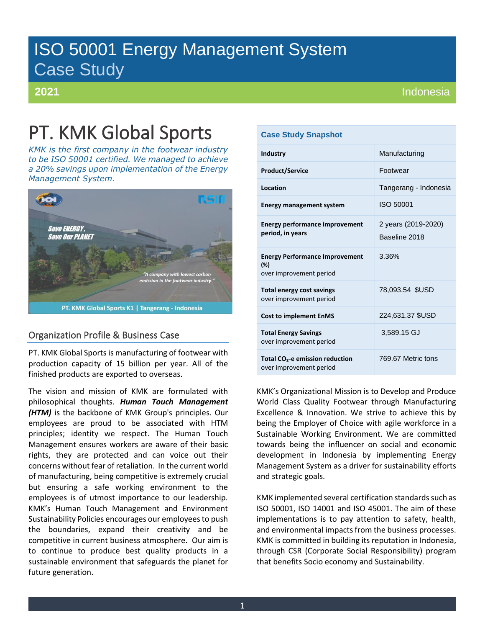# ISO 50001 Energy Management System Case Study

# **2021**

# PT. KMK Global Sports

*KMK is the first company in the footwear industry to be ISO 50001 certified. We managed to achieve a 20% savings upon implementation of the Energy Management System.*



# Organization Profile & Business Case

PT. KMK Global Sports is manufacturing of footwear with production capacity of 15 billion per year. All of the finished products are exported to overseas.

The vision and mission of KMK are formulated with philosophical thoughts. *Human Touch Management (HTM)* is the backbone of KMK Group's principles. Our employees are proud to be associated with HTM principles; identity we respect. The Human Touch Management ensures workers are aware of their basic rights, they are protected and can voice out their concerns without fear of retaliation. In the current world of manufacturing, being competitive is extremely crucial but ensuring a safe working environment to the employees is of utmost importance to our leadership. KMK's Human Touch Management and Environment Sustainability Policies encourages our employees to push the boundaries, expand their creativity and be competitive in current business atmosphere. Our aim is to continue to produce best quality products in a sustainable environment that safeguards the planet for future generation.

# **Case Study Snapshot**

| <b>Industry</b>                                                         | Manufacturing                        |  |  |  |  |
|-------------------------------------------------------------------------|--------------------------------------|--|--|--|--|
| <b>Product/Service</b>                                                  | <b>Footwear</b>                      |  |  |  |  |
| Location                                                                | Tangerang - Indonesia                |  |  |  |  |
| <b>Energy management system</b>                                         | ISO 50001                            |  |  |  |  |
| <b>Energy performance improvement</b><br>period, in years               | 2 years (2019-2020)<br>Baseline 2018 |  |  |  |  |
| <b>Energy Performance Improvement</b><br>(%)<br>over improvement period | 3.36%                                |  |  |  |  |
| <b>Total energy cost savings</b><br>over improvement period             | 78,093.54 \$USD                      |  |  |  |  |
| <b>Cost to implement EnMS</b>                                           | 224,631.37 \$USD                     |  |  |  |  |
| <b>Total Energy Savings</b><br>over improvement period                  | 3,589.15 GJ                          |  |  |  |  |
| Total CO <sub>2</sub> -e emission reduction<br>over improvement period  | 769.67 Metric tons                   |  |  |  |  |

KMK's Organizational Mission is to Develop and Produce World Class Quality Footwear through Manufacturing Excellence & Innovation. We strive to achieve this by being the Employer of Choice with agile workforce in a Sustainable Working Environment. We are committed towards being the influencer on social and economic development in Indonesia by implementing Energy Management System as a driver for sustainability efforts and strategic goals.

KMK implemented several certification standards such as ISO 50001, ISO 14001 and ISO 45001. The aim of these implementations is to pay attention to safety, health, and environmental impacts from the business processes. KMK is committed in building its reputation in Indonesia, through CSR (Corporate Social Responsibility) program that benefits Socio economy and Sustainability.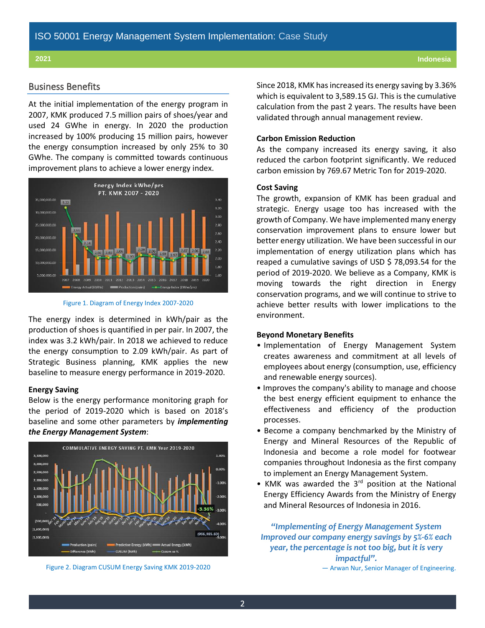# Business Benefits

At the initial implementation of the energy program in 2007, KMK produced 7.5 million pairs of shoes/year and used 24 GWhe in energy. In 2020 the production increased by 100% producing 15 million pairs, however the energy consumption increased by only 25% to 30 GWhe. The company is committed towards continuous improvement plans to achieve a lower energy index.





The energy index is determined in kWh/pair as the production of shoes is quantified in per pair. In 2007, the index was 3.2 kWh/pair. In 2018 we achieved to reduce the energy consumption to 2.09 kWh/pair. As part of Strategic Business planning, KMK applies the new baseline to measure energy performance in 2019-2020.

# **Energy Saving**

Below is the energy performance monitoring graph for the period of 2019-2020 which is based on 2018's baseline and some other parameters by *implementing the Energy Management System*:



Figure 2. Diagram CUSUM Energy Saving KMK 2019-2020

Since 2018, KMK has increased its energy saving by 3.36% which is equivalent to 3,589.15 GJ. This is the cumulative calculation from the past 2 years. The results have been validated through annual management review.

# **Carbon Emission Reduction**

As the company increased its energy saving, it also reduced the carbon footprint significantly. We reduced carbon emission by 769.67 Metric Ton for 2019-2020.

# **Cost Saving**

The growth, expansion of KMK has been gradual and strategic. Energy usage too has increased with the growth of Company. We have implemented many energy conservation improvement plans to ensure lower but better energy utilization. We have been successful in our implementation of energy utilization plans which has reaped a cumulative savings of USD \$ 78,093.54 for the period of 2019-2020. We believe as a Company, KMK is moving towards the right direction in Energy conservation programs, and we will continue to strive to achieve better results with lower implications to the environment.

# **Beyond Monetary Benefits**

- Implementation of Energy Management System creates awareness and commitment at all levels of employees about energy (consumption, use, efficiency and renewable energy sources).
- Improves the company's ability to manage and choose the best energy efficient equipment to enhance the effectiveness and efficiency of the production processes.
- Become a company benchmarked by the Ministry of Energy and Mineral Resources of the Republic of Indonesia and become a role model for footwear companies throughout Indonesia as the first company to implement an Energy Management System.
- KMK was awarded the 3<sup>rd</sup> position at the National Energy Efficiency Awards from the Ministry of Energy and Mineral Resources of Indonesia in 2016.

*"Implementing of Energy Management System Improved our company energy savings by 5%-6% each year, the percentage is not too big, but it is very impactful".* — Arwan Nur, Senior Manager of Engineering.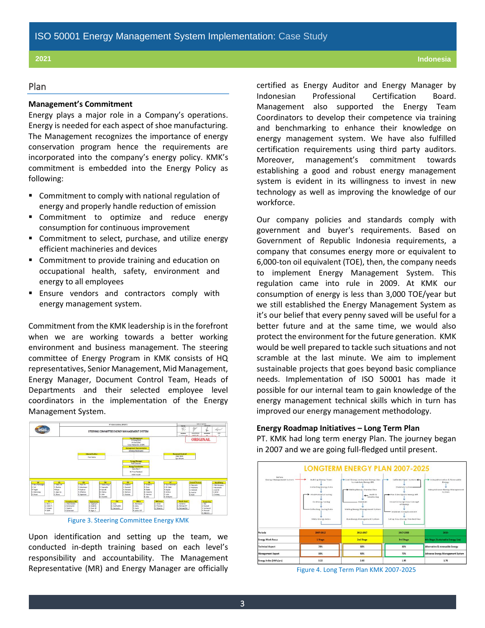# Plan

# **Management's Commitment**

Energy plays a major role in a Company's operations. Energy is needed for each aspect of shoe manufacturing. The Management recognizes the importance of energy conservation program hence the requirements are incorporated into the company's energy policy. KMK's commitment is embedded into the Energy Policy as following:

- Commitment to comply with national regulation of energy and properly handle reduction of emission
- **EXECOMMIT COMMIT COMMIT COMMIT COMMIT COMMIT COMMIT COMMIT COMMIT COMMIT COMMIT COMMIT COMMIT COMMIT COMMIT COMM** consumption for continuous improvement
- Commitment to select, purchase, and utilize energy efficient machineries and devices
- Commitment to provide training and education on occupational health, safety, environment and energy to all employees
- **Ensure vendors and contractors comply with** energy management system.

Commitment from the KMK leadership is in the forefront when we are working towards a better working environment and business management. The steering committee of Energy Program in KMK consists of HQ representatives, Senior Management, Mid Management, Energy Manager, Document Control Team, Heads of Departments and their selected employee level coordinators in the implementation of the Energy Management System.





Upon identification and setting up the team, we conducted in-depth training based on each level's responsibility and accountability. The Management Representative (MR) and Energy Manager are officially certified as Energy Auditor and Energy Manager by Indonesian Professional Certification Board. Management also supported the Energy Team Coordinators to develop their competence via training and benchmarking to enhance their knowledge on energy management system. We have also fulfilled certification requirements using third party auditors. Moreover, management's commitment towards establishing a good and robust energy management system is evident in its willingness to invest in new technology as well as improving the knowledge of our workforce.

Our company policies and standards comply with government and buyer's requirements. Based on Government of Republic Indonesia requirements, a company that consumes energy more or equivalent to 6,000-ton oil equivalent (TOE), then, the company needs to implement Energy Management System. This regulation came into rule in 2009. At KMK our consumption of energy is less than 3,000 TOE/year but we still established the Energy Management System as it's our belief that every penny saved will be useful for a better future and at the same time, we would also protect the environment for the future generation. KMK would be well prepared to tackle such situations and not scramble at the last minute. We aim to implement sustainable projects that goes beyond basic compliance needs. Implementation of ISO 50001 has made it possible for our internal team to gain knowledge of the energy management technical skills which in turn has improved our energy management methodology.

# **Energy Roadmap Initiatives – Long Term Plan**

PT. KMK had long term energy Plan. The journey began in 2007 and we are going full-fledged until present.



### Figure 4. Long Term Plan KMK 2007-2025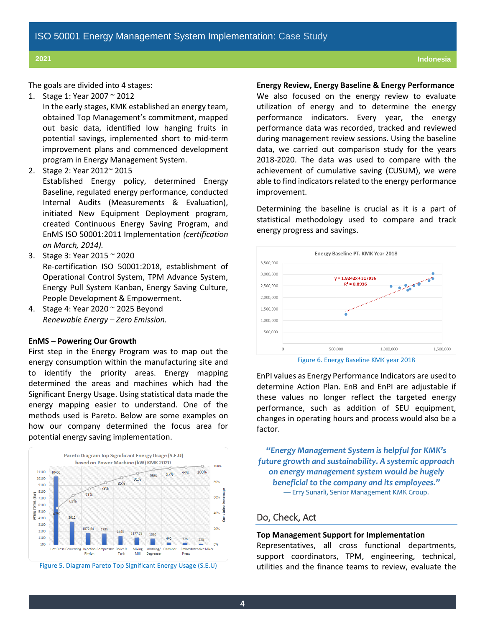The goals are divided into 4 stages:

1. Stage 1: Year 2007 ~ 2012

In the early stages, KMK established an energy team, obtained Top Management's commitment, mapped out basic data, identified low hanging fruits in potential savings, implemented short to mid-term improvement plans and commenced development program in Energy Management System.

2. Stage 2: Year 2012~ 2015

Established Energy policy, determined Energy Baseline, regulated energy performance, conducted Internal Audits (Measurements & Evaluation), initiated New Equipment Deployment program, created Continuous Energy Saving Program, and EnMS ISO 50001:2011 Implementation *(certification on March, 2014).*

- 3. Stage 3: Year 2015 ~ 2020 Re-certification ISO 50001:2018, establishment of Operational Control System, TPM Advance System, Energy Pull System Kanban, Energy Saving Culture, People Development & Empowerment.
- 4. Stage 4: Year 2020 ~ 2025 Beyond *Renewable Energy – Zero Emission.*

# **EnMS – Powering Our Growth**

First step in the Energy Program was to map out the energy consumption within the manufacturing site and to identify the priority areas. Energy mapping determined the areas and machines which had the Significant Energy Usage. Using statistical data made the energy mapping easier to understand. One of the methods used is Pareto. Below are some examples on how our company determined the focus area for potential energy saving implementation.





## **Energy Review, Energy Baseline & Energy Performance**

We also focused on the energy review to evaluate utilization of energy and to determine the energy performance indicators. Every year, the energy performance data was recorded, tracked and reviewed during management review sessions. Using the baseline data, we carried out comparison study for the years 2018-2020. The data was used to compare with the achievement of cumulative saving (CUSUM), we were able to find indicators related to the energy performance improvement.

Determining the baseline is crucial as it is a part of statistical methodology used to compare and track energy progress and savings.



Figure 6. Energy Baseline KMK year 2018

EnPI values as Energy Performance Indicators are used to determine Action Plan. EnB and EnPI are adjustable if these values no longer reflect the targeted energy performance, such as addition of SEU equipment, changes in operating hours and process would also be a factor.

*"Energy Management System is helpful for KMK's future growth and sustainability. A systemic approach on energy management system would be hugely beneficial to the company and its employees."* — Erry Sunarli, Senior Management KMK Group.

# Do, Check, Act

## **Top Management Support for Implementation**

Representatives, all cross functional departments, support coordinators, TPM, engineering, technical, utilities and the finance teams to review, evaluate the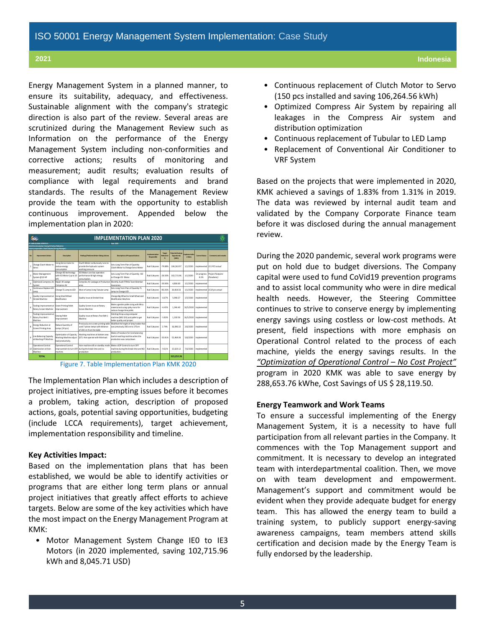Energy Management System in a planned manner, to ensure its suitability, adequacy, and effectiveness. Sustainable alignment with the company's strategic direction is also part of the review. Several areas are scrutinized during the Management Review such as Information on the performance of the Energy Management System including non-conformities and corrective actions; results of monitoring and measurement; audit results; evaluation results of compliance with legal requirements and brand standards. The results of the Management Review provide the team with the opportunity to establish continuous improvement. Appended below the implementation plan in 2020:

| <b>IMPLEMENTATION PLAN 2020</b>                                                                       |                                                           |                                                                          |                                                                                                          |                                                                                                          |                               |                                 |                                                  |                        |                       |                                       |  |  |
|-------------------------------------------------------------------------------------------------------|-----------------------------------------------------------|--------------------------------------------------------------------------|----------------------------------------------------------------------------------------------------------|----------------------------------------------------------------------------------------------------------|-------------------------------|---------------------------------|--------------------------------------------------|------------------------|-----------------------|---------------------------------------|--|--|
| Date: 2020<br><b>MAIL SOCIETS IT</b>                                                                  |                                                           |                                                                          |                                                                                                          |                                                                                                          |                               |                                 |                                                  |                        |                       |                                       |  |  |
| ctivities description: Energy & Carbon Reduction<br>actory responsible: Rudi Calvono (Energy Manager) |                                                           |                                                                          |                                                                                                          |                                                                                                          |                               |                                 |                                                  |                        |                       |                                       |  |  |
|                                                                                                       |                                                           |                                                                          |                                                                                                          |                                                                                                          |                               |                                 |                                                  |                        |                       |                                       |  |  |
| No                                                                                                    | Improvement Action                                        | Description                                                              | Findings/Problems Before Taking Actions                                                                  | Description of Proposed Actions                                                                          | Implementation<br>Responsible | Target<br><b>Teduction</b><br>ĸ | <b>Potential Savings</b><br>Opportunity<br>(kwh) | rolementati<br>n Dates | <b>Consult Online</b> | <b>Comments</b> and remarks           |  |  |
|                                                                                                       | Change Clutch Motor to<br>Servo                           | Using Servo motor to<br>reduce energy<br>consumption                     | Clucth Motor contiunously runs to<br>provide the hydraulic system<br>working pressure                    | Set a Long Term Plan of Quantity<br>Clutch Motor to Change Servo Motor                                   | Rudi Cahvono                  | 79.88%                          | 106 263 97                                       | 1/1/2020               |                       | molemented 151 PCS actual             |  |  |
|                                                                                                       | Motor Management<br>System #10 HP                         | Change IEO technology<br>with IE3 Motor (up to 10<br>HP)                 | IED Motors are low operation<br>performance & high energy<br>consumption.                                | Set a Long Term Plan of Quantity IEO<br>to Change IE3 Motor                                              | Rudi Cahvono                  | $-26.50%$                       | 102.715.96                                       | 1/1/2020               | On progress<br>8.3%   | <b>Project Postpone</b><br>(Pandemic) |  |  |
| ٠                                                                                                     | <b>Jotimized Compress Air</b><br>System                   | Repair All Leakee<br>Compress Air                                        | Compress Air Leakage at Production<br>area                                                               | Monthly Audit TPM & Team Member<br>Awareness                                                             | Rudi Cahyono                  | 30.00%                          | 4,800.00                                         | 1/1/2020               | molemented            |                                       |  |  |
|                                                                                                       | Continuous Replace LED<br>Lamo                            | Change TL Lamp to LED                                                    | Most of Lamp Using Tubular Lamp                                                                          | Set a Long Term Plan of Quantity TL<br>Lamp to Change LED                                                | Rudi Cahvono                  | 85.05%                          | 20.818.56                                        | 1/1/2020               | molemented            | 1514 pcs actual                       |  |  |
|                                                                                                       | Quality Improvement at<br>Strobel Marbine                 | Using Small Wheel<br>Modification                                        | Quality Issue at Strobel Area                                                                            | Change Big Wheel to Small Wheel and<br>Modification Machine                                              | Rudi Cahyono                  | 6.67%                           | 5.948.37                                         | 1/5/2020               | molemented            |                                       |  |  |
| А                                                                                                     | coling Improvement at<br>Rotary Screen Machine            | <b>Sreen Printing Pallet</b><br>Improvement                              | Quality Screen Issue at Rotary<br>Screen Machine                                                         | Make a gender pallet sizing with Mica<br>material and using spiky moca for<br>reduce change time pallet. | Rudi Cahyono                  | 6.45%                           | 1.346.40                                         |                        | 10/5/2020 Implemented |                                       |  |  |
|                                                                                                       | coling Improvement at<br>Rotary Post Belt 1<br>Machine    | Sewing Pallet<br>Improvement                                             | Quality Issue at Rotary Post Belt 1<br>Machine                                                           | Stitching Strap using computer<br>machine (BAS 324) and pallet to get<br>better quality and proper.      | Rudi Cahyono                  | $-5.83%$                        | 1.330.56                                         |                        | 16/5/2020 Implemented |                                       |  |  |
| я                                                                                                     | Energy Reduction at<br>Screen Printing Area               | Reduce Quantity of<br>Lamps (24 pcs)                                     | Previously one screen printing table<br>used 7 pieces lamps with distance<br>of 200 cm from the table    | Modified the height of lamp holder that<br>was previously 200 cm to 175cm                                | Rudi Cahyono                  | 7.74%                           | 16.096.32                                        | 2/6/2020               | mplemented            |                                       |  |  |
|                                                                                                       | ine Balancing Capacity<br>at Washing IP Machine           | Ootimization of Capacity<br>Washing Machine adjust<br>load productivity. | Washing machines at bottom area<br>(D7) that operate with little load.                                   | Make a Procedure for Line balancing<br>load at washing machine when the<br>production was ramp down.     | Rudi Cahvono                  | 33.81%                          | 52,464.06                                        | 5/6/2020               | mplemented            |                                       |  |  |
|                                                                                                       | Doerational Control<br>10 Optimization at Holn<br>Machine | Doerational Control<br>machine.                                          | Holn machine still on standby mode<br>Improvement to turn OFF during the break time and no<br>production | Make a SOP Control to turn OFF<br>machine during the break time and NO<br>production.                    | Rudi Cahvono                  | 9.61%                           | 15.619.12                                        | 7/6/2020               | mplemented            |                                       |  |  |
|                                                                                                       | <b>TOTAL</b>                                              |                                                                          |                                                                                                          |                                                                                                          |                               |                                 | 523.252.26                                       |                        |                       |                                       |  |  |

Figure 7. Table Implementation Plan KMK 2020

The Implementation Plan which includes a description of project initiatives, pre-empting issues before it becomes a problem, taking action, description of proposed actions, goals, potential saving opportunities, budgeting (include LCCA requirements), target achievement, implementation responsibility and timeline.

# **Key Activities Impact:**

Based on the implementation plans that has been established, we would be able to identify activities or programs that are either long term plans or annual project initiatives that greatly affect efforts to achieve targets. Below are some of the key activities which have the most impact on the Energy Management Program at KMK:

• Motor Management System Change IE0 to IE3 Motors (in 2020 implemented, saving 102,715.96 kWh and 8,045.71 USD)

- Continuous replacement of Clutch Motor to Servo (150 pcs installed and saving 106,264.56 kWh)
- Optimized Compress Air System by repairing all leakages in the Compress Air system and distribution optimization
- Continuous replacement of Tubular to LED Lamp
- Replacement of Conventional Air Conditioner to VRF System

Based on the projects that were implemented in 2020, KMK achieved a savings of 1.83% from 1.31% in 2019. The data was reviewed by internal audit team and validated by the Company Corporate Finance team before it was disclosed during the annual management review.

During the 2020 pandemic, several work programs were put on hold due to budget diversions. The Company capital were used to fund CoVid19 prevention programs and to assist local community who were in dire medical health needs. However, the Steering Committee continues to strive to conserve energy by implementing energy savings using costless or low-cost methods. At present, field inspections with more emphasis on Operational Control related to the process of each machine, yields the energy savings results. In the *"Optimization of Operational Control – No Cost Project"* program in 2020 KMK was able to save energy by 288,653.76 kWhe, Cost Savings of US \$ 28,119.50.

# **Energy Teamwork and Work Teams**

To ensure a successful implementing of the Energy Management System, it is a necessity to have full participation from all relevant parties in the Company. It commences with the Top Management support and commitment. It is necessary to develop an integrated team with interdepartmental coalition. Then, we move on with team development and empowerment. Management's support and commitment would be evident when they provide adequate budget for energy team. This has allowed the energy team to build a training system, to publicly support energy-saving awareness campaigns, team members attend skills certification and decision made by the Energy Team is fully endorsed by the leadership.